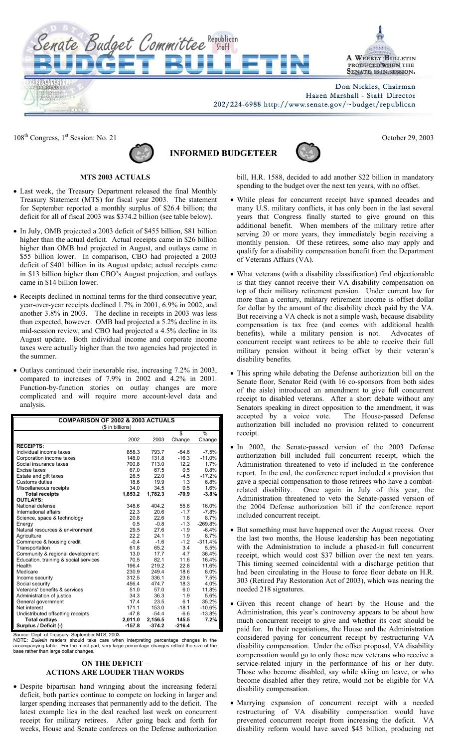

Don Nickles, Chairman Hazen Marshall - Staff Director

202/224-6988 http://www.senate.gov/~budget/republican

108<sup>th</sup> Congress, 1<sup>st</sup> Session: No. 21 October 29, 2003



Senate Budget Committee Republican

**INFORMED BUDGETEER**



**MTS 2003 ACTUALS** 

- Last week, the Treasury Department released the final Monthly Treasury Statement (MTS) for fiscal year 2003. The statement for September reported a monthly surplus of \$26.4 billion; the deficit for all of fiscal 2003 was \$374.2 billion (see table below).
- In July, OMB projected a 2003 deficit of \$455 billion, \$81 billion higher than the actual deficit. Actual receipts came in \$26 billion higher than OMB had projected in August, and outlays came in \$55 billion lower. In comparison, CBO had projected a 2003 deficit of \$401 billion in its August update; actual receipts came in \$13 billion higher than CBO's August projection, and outlays came in \$14 billion lower.
- Receipts declined in nominal terms for the third consecutive year; year-over-year receipts declined 1.7% in 2001, 6.9% in 2002, and another 3.8% in 2003. The decline in receipts in 2003 was less than expected, however. OMB had projected a 5.2% decline in its mid-session review, and CBO had projected a 4.5% decline in its August update. Both individual income and corporate income taxes were actually higher than the two agencies had projected in the summer.
- Outlays continued their inexorable rise, increasing 7.2% in 2003, compared to increases of 7.9% in 2002 and 4.2% in 2001. Function-by-function stories on outlay changes are more complicated and will require more account-level data and analysis.

| <b>COMPARISON OF 2002 &amp; 2003 ACTUALS</b> |                  |          |          |           |  |
|----------------------------------------------|------------------|----------|----------|-----------|--|
|                                              | (\$ in billions) |          | \$       | $\%$      |  |
|                                              |                  |          |          |           |  |
|                                              | 2002             | 2003     | Change   | Change    |  |
| <b>RECEIPTS:</b>                             |                  |          |          |           |  |
| Individual income taxes                      | 858.3            | 793.7    | $-64.6$  | $-7.5%$   |  |
| Corporation income taxes                     | 148.0            | 131.8    | $-16.3$  | $-11.0%$  |  |
| Social insurance taxes                       | 700.8            | 713.0    | 12.2     | 1.7%      |  |
| Excise taxes                                 | 67.0             | 67.5     | 0.5      | 0.8%      |  |
| Estate and gift taxes                        | 26.5             | 22.0     | $-4.5$   | $-17.2%$  |  |
| Customs duties                               | 18.6             | 19.9     | 1.3      | 6.8%      |  |
| Miscellaneous receipts                       | 34.0             | 34.5     | 0.5      | 1.6%      |  |
| <b>Total receipts</b>                        | 1,853.2          | 1,782.3  | $-70.9$  | $-3.8%$   |  |
| <b>OUTLAYS:</b>                              |                  |          |          |           |  |
| National defense                             | 348.6            | 404.2    | 55.6     | 16.0%     |  |
| International affairs                        | 22.3             | 20.6     | $-1.7$   | $-7.8%$   |  |
| Science, space & technology                  | 20.8             | 22.6     | 1.8      | 8.7%      |  |
| Energy                                       | 0.5              | $-0.8$   | $-1.3$   | $-269.8%$ |  |
| Natural resources & environment              | 29.5             | 27.6     | $-1.9$   | $-6.4%$   |  |
| Agriculture                                  | 22.2             | 24.1     | 1.9      | 8.7%      |  |
| Commerce & housing credit                    | $-0.4$           | $-1.6$   | $-1.2$   | $-311.4%$ |  |
| Transportation                               | 61.8             | 65.2     | 3.4      | 5.5%      |  |
| Community & regional development             | 13.0             | 17.7     | 4.7      | 36.4%     |  |
| Education, training & social services        | 70.5             | 82.1     | 11.6     | 16.4%     |  |
| Health                                       | 196.4            | 219.2    | 22.8     | 11.6%     |  |
| Medicare                                     | 230.9            | 249.4    | 18.6     | 8.0%      |  |
| Income security                              | 312.5            | 336.1    | 23.6     | 7.5%      |  |
| Social security                              | 456.4            | 474.7    | 18.3     | 4.0%      |  |
| Veterans' benefits & services                | 51.0             | 57.0     | 6.0      | 11.8%     |  |
| Administration of justice                    | 34.3             | 36.3     | 1.9      | 5.6%      |  |
| General government                           | 17.4             | 23.5     | 6.1      | 35.2%     |  |
| Net interest                                 | 171.1            | 153.0    | $-18.1$  | $-10.6%$  |  |
| Undistributed offsetting receipts            | $-47.8$          | $-54.4$  | $-6.6$   | $-13.8%$  |  |
| <b>Total outlays</b>                         | 2,011.0          | 2,156.5  | 145.5    | 7.2%      |  |
| Surplus / Deficit (-)                        | $-157.8$         | $-374.2$ | $-216.4$ |           |  |
|                                              |                  |          |          |           |  |

Source: Dept. of Treasury, September MTS, 2003<br>NOTE: *Bulletin* readers should take care when interpreting percentage changes in the<br>accompanying table. For the most part, very large percentage changes reflect the size of

## **ON THE DEFICIT – ACTIONS ARE LOUDER THAN WORDS**

• Despite bipartisan hand wringing about the increasing federal deficit, both parties continue to compete on locking in larger and larger spending increases that permanently add to the deficit. The latest example lies in the deal reached last week on concurrent receipt for military retirees. After going back and forth for weeks, House and Senate conferees on the Defense authorization bill, H.R. 1588, decided to add another \$22 billion in mandatory spending to the budget over the next ten years, with no offset.

- While pleas for concurrent receipt have spanned decades and many U.S. military conflicts, it has only been in the last several years that Congress finally started to give ground on this additional benefit. When members of the military retire after serving 20 or more years, they immediately begin receiving a monthly pension. Of these retirees, some also may apply and qualify for a disability compensation benefit from the Department of Veterans Affairs (VA).
- What veterans (with a disability classification) find objectionable is that they cannot receive their VA disability compensation on top of their military retirement pension. Under current law for more than a century, military retirement income is offset dollar for dollar by the amount of the disability check paid by the VA. But receiving a VA check is not a simple wash, because disability compensation is tax free (and comes with additional health benefits), while a military pension is not. Advocates of concurrent receipt want retirees to be able to receive their full military pension without it being offset by their veteran's disability benefits.
- This spring while debating the Defense authorization bill on the Senate floor, Senator Reid (with 16 co-sponsors from both sides of the aisle) introduced an amendment to give full concurrent receipt to disabled veterans. After a short debate without any Senators speaking in direct opposition to the amendment, it was accepted by a voice vote. The House-passed Defense authorization bill included no provision related to concurrent receipt.
- In 2002, the Senate-passed version of the 2003 Defense authorization bill included full concurrent receipt, which the Administration threatened to veto if included in the conference report. In the end, the conference report included a provision that gave a special compensation to those retirees who have a combatrelated disability. Once again in July of this year, the Administration threatened to veto the Senate-passed version of the 2004 Defense authorization bill if the conference report included concurrent receipt.
- But something must have happened over the August recess. Over the last two months, the House leadership has been negotiating with the Administration to include a phased-in full concurrent receipt, which would cost \$37 billion over the next ten years. This timing seemed coincidental with a discharge petition that had been circulating in the House to force floor debate on H.R. 303 (Retired Pay Restoration Act of 2003), which was nearing the needed 218 signatures.
- Given this recent change of heart by the House and the Administration, this year's controversy appears to be about how much concurrent receipt to give and whether its cost should be paid for. In their negotiations, the House and the Administration considered paying for concurrent receipt by restructuring VA disability compensation. Under the offset proposal, VA disability compensation would go to only those new veterans who receive a service-related injury in the performance of his or her duty. Those who become disabled, say while skiing on leave, or who become disabled after they retire, would not be eligible for VA disability compensation.
- Marrying expansion of concurrent receipt with a needed restructuring of VA disability compensation would have prevented concurrent receipt from increasing the deficit. VA disability reform would have saved \$45 billion, producing net